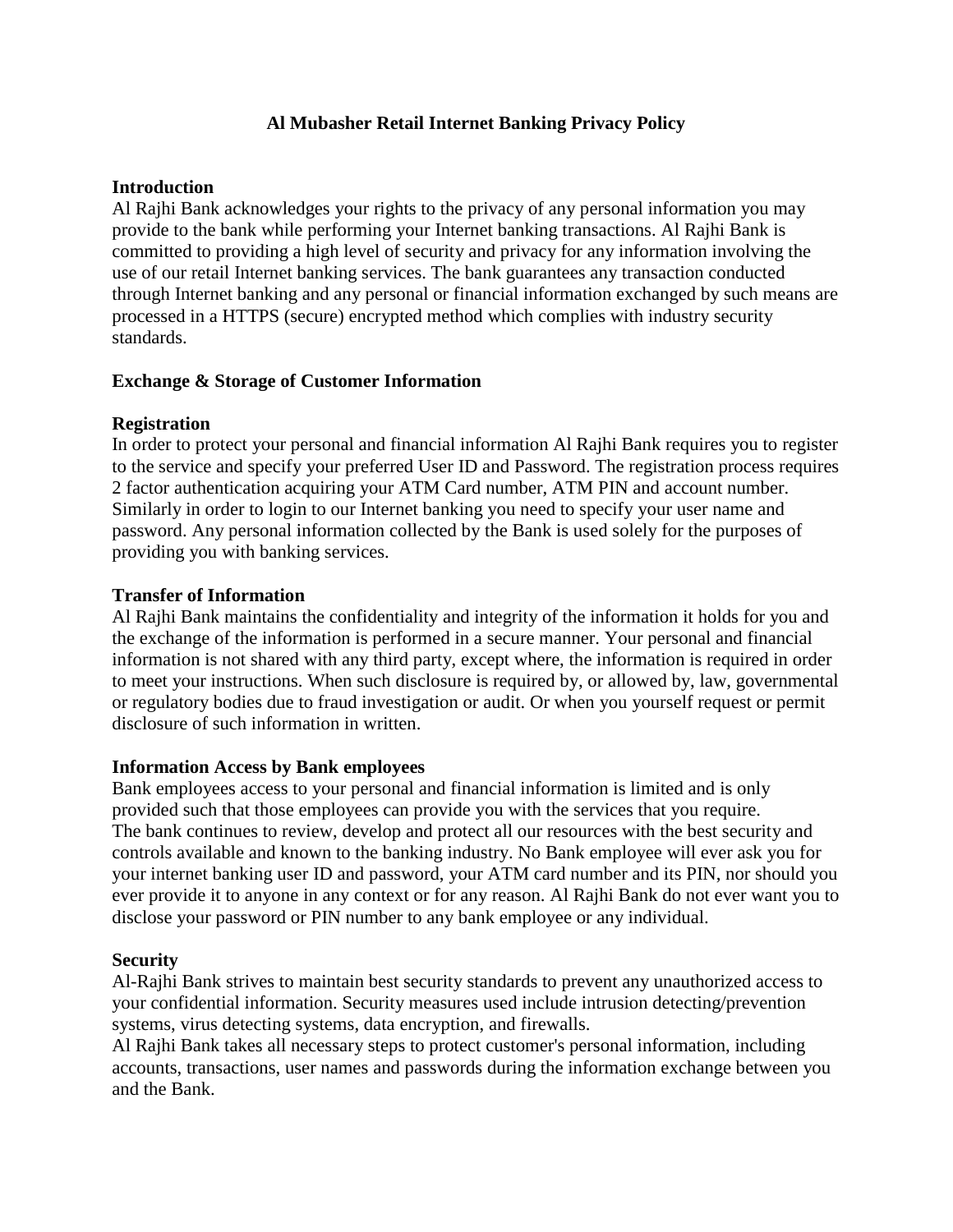# **Al Mubasher Retail Internet Banking Privacy Policy**

### **Introduction**

Al Rajhi Bank acknowledges your rights to the privacy of any personal information you may provide to the bank while performing your Internet banking transactions. Al Rajhi Bank is committed to providing a high level of security and privacy for any information involving the use of our retail Internet banking services. The bank guarantees any transaction conducted through Internet banking and any personal or financial information exchanged by such means are processed in a HTTPS (secure) encrypted method which complies with industry security standards.

## **Exchange & Storage of Customer Information**

## **Registration**

In order to protect your personal and financial information Al Rajhi Bank requires you to register to the service and specify your preferred User ID and Password. The registration process requires 2 factor authentication acquiring your ATM Card number, ATM PIN and account number. Similarly in order to login to our Internet banking you need to specify your user name and password. Any personal information collected by the Bank is used solely for the purposes of providing you with banking services.

### **Transfer of Information**

Al Rajhi Bank maintains the confidentiality and integrity of the information it holds for you and the exchange of the information is performed in a secure manner. Your personal and financial information is not shared with any third party, except where, the information is required in order to meet your instructions. When such disclosure is required by, or allowed by, law, governmental or regulatory bodies due to fraud investigation or audit. Or when you yourself request or permit disclosure of such information in written.

#### **Information Access by Bank employees**

Bank employees access to your personal and financial information is limited and is only provided such that those employees can provide you with the services that you require. The bank continues to review, develop and protect all our resources with the best security and controls available and known to the banking industry. No Bank employee will ever ask you for your internet banking user ID and password, your ATM card number and its PIN, nor should you ever provide it to anyone in any context or for any reason. Al Rajhi Bank do not ever want you to disclose your password or PIN number to any bank employee or any individual.

#### **Security**

Al-Rajhi Bank strives to maintain best security standards to prevent any unauthorized access to your confidential information. Security measures used include intrusion detecting/prevention systems, virus detecting systems, data encryption, and firewalls.

Al Rajhi Bank takes all necessary steps to protect customer's personal information, including accounts, transactions, user names and passwords during the information exchange between you and the Bank.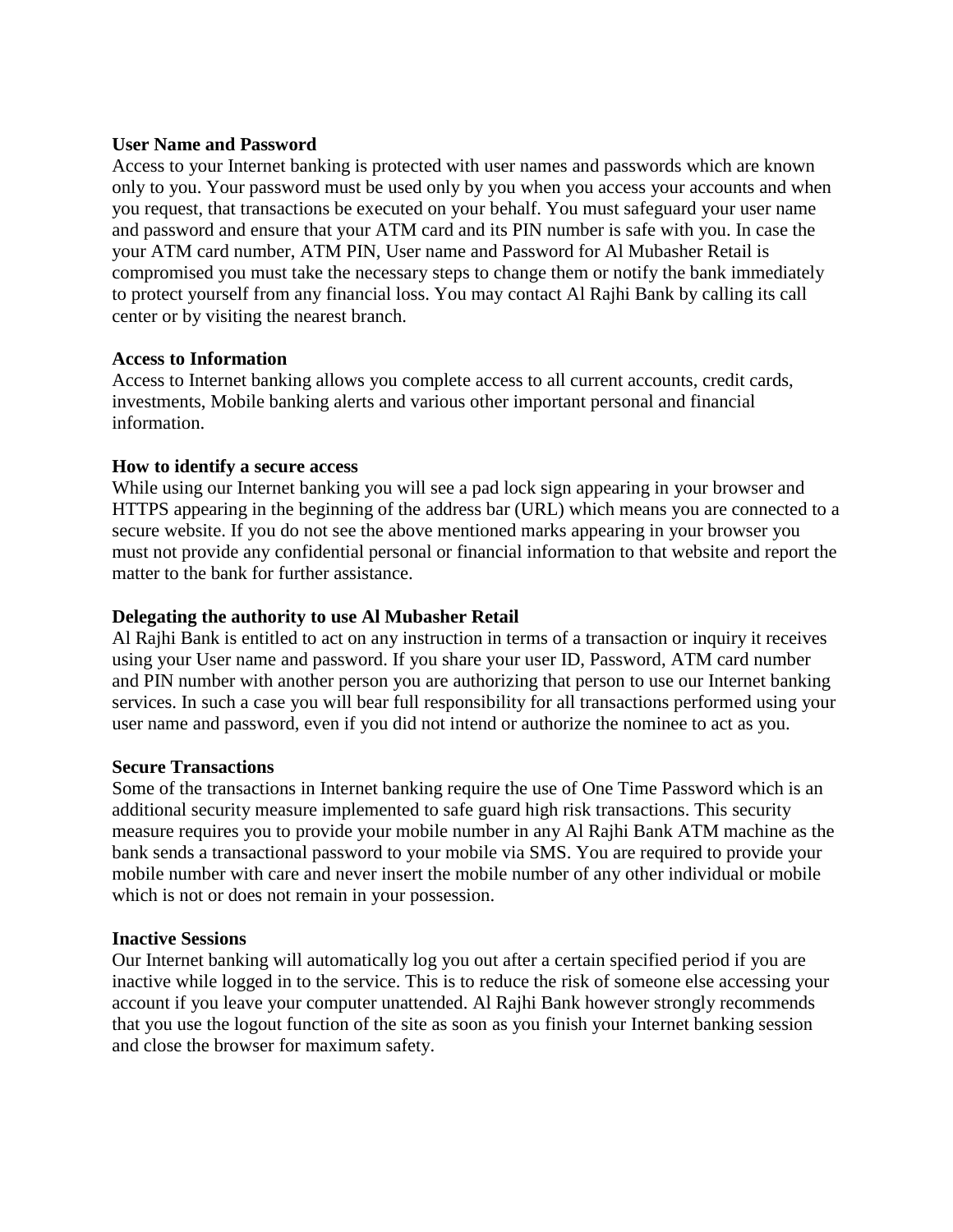### **User Name and Password**

Access to your Internet banking is protected with user names and passwords which are known only to you. Your password must be used only by you when you access your accounts and when you request, that transactions be executed on your behalf. You must safeguard your user name and password and ensure that your ATM card and its PIN number is safe with you. In case the your ATM card number, ATM PIN, User name and Password for Al Mubasher Retail is compromised you must take the necessary steps to change them or notify the bank immediately to protect yourself from any financial loss. You may contact Al Rajhi Bank by calling its call center or by visiting the nearest branch.

### **Access to Information**

Access to Internet banking allows you complete access to all current accounts, credit cards, investments, Mobile banking alerts and various other important personal and financial information.

### **How to identify a secure access**

While using our Internet banking you will see a pad lock sign appearing in your browser and HTTPS appearing in the beginning of the address bar (URL) which means you are connected to a secure website. If you do not see the above mentioned marks appearing in your browser you must not provide any confidential personal or financial information to that website and report the matter to the bank for further assistance.

## **Delegating the authority to use Al Mubasher Retail**

Al Rajhi Bank is entitled to act on any instruction in terms of a transaction or inquiry it receives using your User name and password. If you share your user ID, Password, ATM card number and PIN number with another person you are authorizing that person to use our Internet banking services. In such a case you will bear full responsibility for all transactions performed using your user name and password, even if you did not intend or authorize the nominee to act as you.

#### **Secure Transactions**

Some of the transactions in Internet banking require the use of One Time Password which is an additional security measure implemented to safe guard high risk transactions. This security measure requires you to provide your mobile number in any Al Rajhi Bank ATM machine as the bank sends a transactional password to your mobile via SMS. You are required to provide your mobile number with care and never insert the mobile number of any other individual or mobile which is not or does not remain in your possession.

#### **Inactive Sessions**

Our Internet banking will automatically log you out after a certain specified period if you are inactive while logged in to the service. This is to reduce the risk of someone else accessing your account if you leave your computer unattended. Al Rajhi Bank however strongly recommends that you use the logout function of the site as soon as you finish your Internet banking session and close the browser for maximum safety.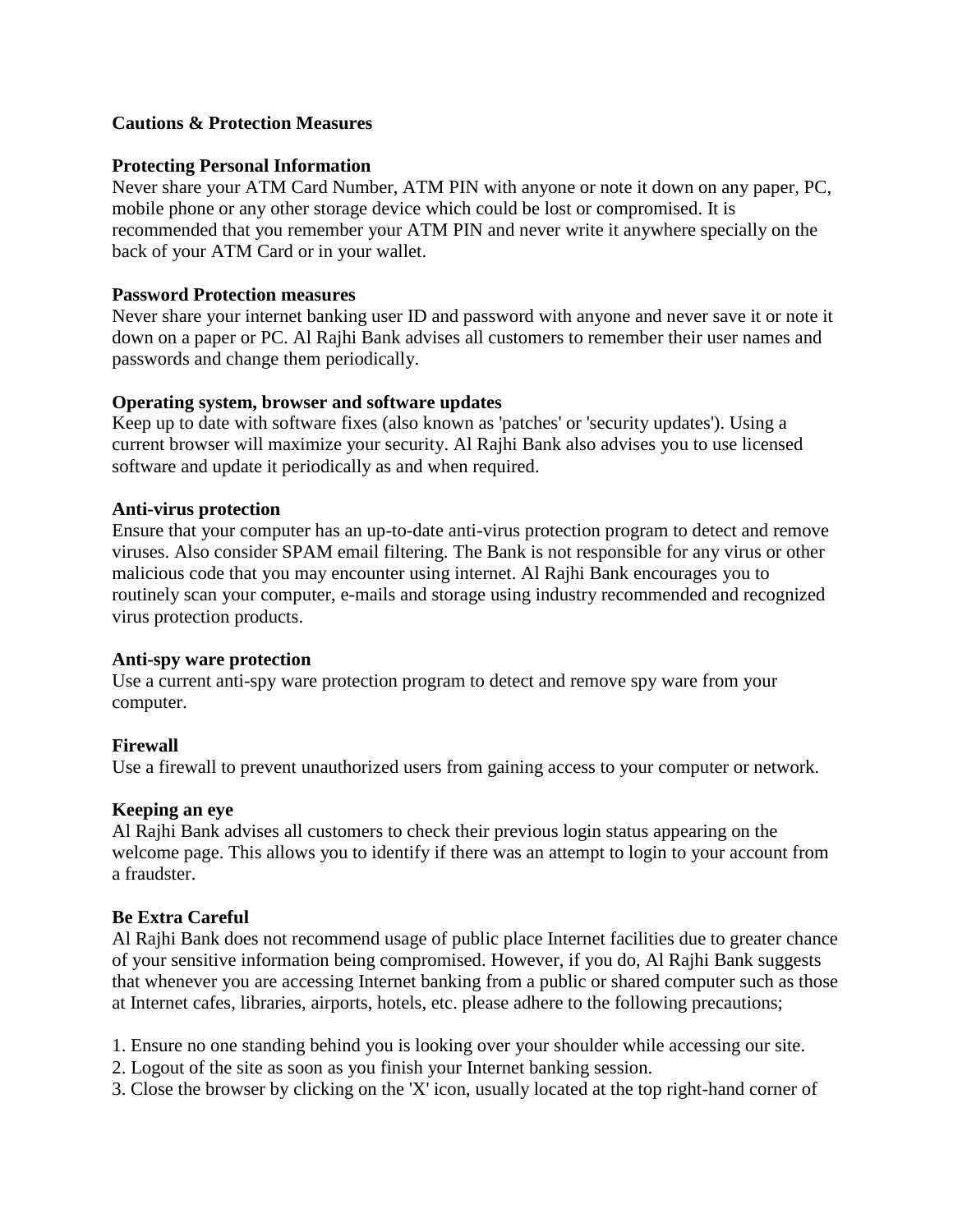# **Cautions & Protection Measures**

## **Protecting Personal Information**

Never share your ATM Card Number, ATM PIN with anyone or note it down on any paper, PC, mobile phone or any other storage device which could be lost or compromised. It is recommended that you remember your ATM PIN and never write it anywhere specially on the back of your ATM Card or in your wallet.

### **Password Protection measures**

Never share your internet banking user ID and password with anyone and never save it or note it down on a paper or PC. Al Rajhi Bank advises all customers to remember their user names and passwords and change them periodically.

### **Operating system, browser and software updates**

Keep up to date with software fixes (also known as 'patches' or 'security updates'). Using a current browser will maximize your security. Al Rajhi Bank also advises you to use licensed software and update it periodically as and when required.

### **Anti-virus protection**

Ensure that your computer has an up-to-date anti-virus protection program to detect and remove viruses. Also consider SPAM email filtering. The Bank is not responsible for any virus or other malicious code that you may encounter using internet. Al Rajhi Bank encourages you to routinely scan your computer, e-mails and storage using industry recommended and recognized virus protection products.

#### **Anti-spy ware protection**

Use a current anti-spy ware protection program to detect and remove spy ware from your computer.

## **Firewall**

Use a firewall to prevent unauthorized users from gaining access to your computer or network.

## **Keeping an eye**

Al Rajhi Bank advises all customers to check their previous login status appearing on the welcome page. This allows you to identify if there was an attempt to login to your account from a fraudster.

## **Be Extra Careful**

Al Rajhi Bank does not recommend usage of public place Internet facilities due to greater chance of your sensitive information being compromised. However, if you do, Al Rajhi Bank suggests that whenever you are accessing Internet banking from a public or shared computer such as those at Internet cafes, libraries, airports, hotels, etc. please adhere to the following precautions;

1. Ensure no one standing behind you is looking over your shoulder while accessing our site.

- 2. Logout of the site as soon as you finish your Internet banking session.
- 3. Close the browser by clicking on the 'X' icon, usually located at the top right-hand corner of